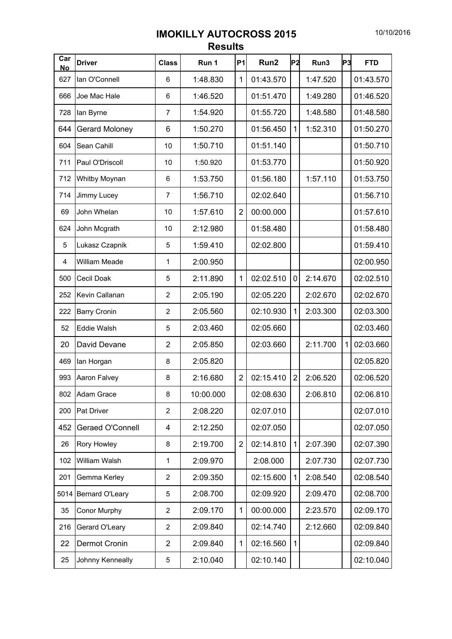## 10/10/2016

## **IMOKILLY AUTOCROSS 2015 Results**

| Car<br><b>No</b> | <b>Driver</b>       | <b>Class</b>   | Run 1     | P1             | Run2      | <b>P2</b>      | Run3     | P3 | <b>FTD</b> |
|------------------|---------------------|----------------|-----------|----------------|-----------|----------------|----------|----|------------|
| 627              | lan O'Connell       | 6              | 1:48.830  | 1              | 01:43.570 |                | 1:47.520 |    | 01:43.570  |
| 666              | Joe Mac Hale        | 6              | 1:46.520  |                | 01:51.470 |                | 1:49.280 |    | 01:46.520  |
| 728              | lan Byrne           | 7              | 1:54.920  |                | 01:55.720 |                | 1:48.580 |    | 01:48.580  |
| 644              | Gerard Moloney      | 6              | 1:50.270  |                | 01:56.450 | 1              | 1:52.310 |    | 01:50.270  |
| 604              | Sean Cahill         | 10             | 1:50.710  |                | 01:51.140 |                |          |    | 01:50.710  |
| 711              | Paul O'Driscoll     | 10             | 1:50.920  |                | 01:53.770 |                |          |    | 01:50.920  |
| 712              | Whitby Moynan       | 6              | 1:53.750  |                | 01:56.180 |                | 1:57.110 |    | 01:53.750  |
| 714              | Jimmy Lucey         | $\overline{7}$ | 1:56.710  |                | 02:02.640 |                |          |    | 01:56.710  |
| 69               | John Whelan         | 10             | 1:57.610  | $\overline{2}$ | 00:00.000 |                |          |    | 01:57.610  |
| 624              | John Mcgrath        | 10             | 2:12.980  |                | 01:58.480 |                |          |    | 01:58.480  |
| 5                | Lukasz Czapnik      | 5              | 1:59.410  |                | 02:02.800 |                |          |    | 01:59.410  |
| 4                | William Meade       | 1              | 2:00.950  |                |           |                |          |    | 02:00.950  |
| 500              | <b>Cecil Doak</b>   | 5              | 2:11.890  | 1              | 02:02.510 | $\mathbf 0$    | 2:14.670 |    | 02:02.510  |
| 252              | Kevin Callanan      | $\overline{2}$ | 2:05.190  |                | 02:05.220 |                | 2:02.670 |    | 02:02.670  |
| 222              | <b>Barry Cronin</b> | 2              | 2:05.560  |                | 02:10.930 | 1              | 2:03.300 |    | 02:03.300  |
| 52               | <b>Eddie Walsh</b>  | 5              | 2:03.460  |                | 02:05.660 |                |          |    | 02:03.460  |
| 20               | David Devane        | $\overline{2}$ | 2:05.850  |                | 02:03.660 |                | 2:11.700 |    | 02:03.660  |
| 469              | lan Horgan          | 8              | 2:05.820  |                |           |                |          |    | 02:05.820  |
| 993              | Aaron Falvey        | 8              | 2:16.680  | $\overline{2}$ | 02:15.410 | $\overline{2}$ | 2:06.520 |    | 02:06.520  |
| 802              | Adam Grace          | 8              | 10:00.000 |                | 02:08.630 |                | 2:06.810 |    | 02:06.810  |
| 200              | Pat Driver          | $\overline{2}$ | 2:08.220  |                | 02:07.010 |                |          |    | 02:07.010  |
| 452              | Geraed O'Connell    | 4              | 2:12.250  |                | 02:07.050 |                |          |    | 02:07.050  |
| 26               | Rory Howley         | 8              | 2:19.700  | $\overline{2}$ | 02:14.810 | 1              | 2:07.390 |    | 02:07.390  |
| 102              | William Walsh       | 1              | 2:09.970  |                | 2:08.000  |                | 2:07.730 |    | 02:07.730  |
| 201              | Gemma Kerley        | 2              | 2:09.350  |                | 02:15.600 | $\mathbf{1}$   | 2:08.540 |    | 02:08.540  |
| 5014             | Bernard O'Leary     | 5              | 2:08.700  |                | 02:09.920 |                | 2:09.470 |    | 02:08.700  |
| 35               | Conor Murphy        | 2              | 2:09.170  | 1              | 00:00.000 |                | 2:23.570 |    | 02:09.170  |
| 216              | Gerard O'Leary      | $\overline{c}$ | 2:09.840  |                | 02:14.740 |                | 2:12.660 |    | 02:09.840  |
| 22               | Dermot Cronin       | $\overline{2}$ | 2:09.840  | 1              | 02:16.560 | 1              |          |    | 02:09.840  |
| 25               | Johnny Kenneally    | 5              | 2:10.040  |                | 02:10.140 |                |          |    | 02:10.040  |